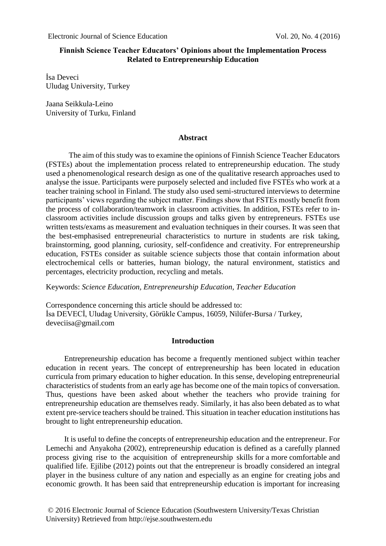# **Finnish Science Teacher Educators' Opinions about the [Implementation Process](http://tureng.com/search/implementation%20process) [Related](http://tureng.com/search/concerned) to Entrepreneurship Education**

İsa Deveci Uludag University, Turkey

Jaana Seikkula-Leino University of Turku, Finland

### **Abstract**

The aim of this study was to examine the opinions of Finnish Science Teacher Educators (FSTEs) about the [implementation process](http://tureng.com/search/implementation%20process) [related](http://tureng.com/search/concerned) to entrepreneurship education. The study used a phenomenological research design as one of the qualitative research approaches used to analyse the issue. Participants were purposely selected and included five FSTEs who work at a teacher training school in Finland. The study also used semi-structured interviews to determine participants' views regarding the subject matter. Findings show that FSTEs mostly benefit from the process of collaboration/teamwork in classroom activities. In addition, FSTEs refer to inclassroom activities include discussion groups and talks given by entrepreneurs. FSTEs use written tests/exams as measurement and evaluation techniques in their courses. It was seen that the best-emphasised entrepreneurial characteristics to nurture in students are risk taking, brainstorming, good planning, curiosity, self-confidence and creativity. For entrepreneurship education, FSTEs consider as suitable science subjects those that contain information about electrochemical cells or batteries, human biology, the natural environment, statistics and percentages, electricity production, recycling and metals.

Keywords: *Science Education, Entrepreneurship Education, Teacher Education*

Correspondence concerning this article should be addressed to: İsa DEVECİ, Uludag University, Görükle Campus, 16059, Nilüfer-Bursa / Turkey, deveciisa@gmail.com

# **Introduction**

Entrepreneurship education has become a frequently [mentioned](http://tureng.com/search/be%20mentioned%20by) subject within teacher education in recent years. The concept of entrepreneurship has been located in education curricula from primary education to higher education. In this sense, developing entrepreneurial characteristics of students from an early age has [become one of the main topics of conversation.](http://tureng.com/search/become%20the%20main%20topic%20of%20conversation) Thus, questions have been asked about whether the teachers who [provide training for](http://tureng.com/search/provide%20training%20for) entrepreneurship education are themselves ready. Similarly, it has also been debated as to what extent pre-service teachers should be trained. This situation in teacher education institutions has brought to light entrepreneurship education.

It is useful to define the concepts of entrepreneurship education and the entrepreneur. For Lemechi and Anyakoha (2002), entrepreneurship education is defined as a carefully planned process giving rise to the acquisition of entrepreneurship skills for a more comfortable and qualified life. Ejilibe (2012) points out that the entrepreneur is [broadly](http://tureng.com/search/broadly%20accepted) considered an integral player in the business culture of any nation and especially as an engine for [creating jobs](http://tureng.com/search/create%20a%20job) and economic growth. It has been said that entrepreneurship education is important for increasing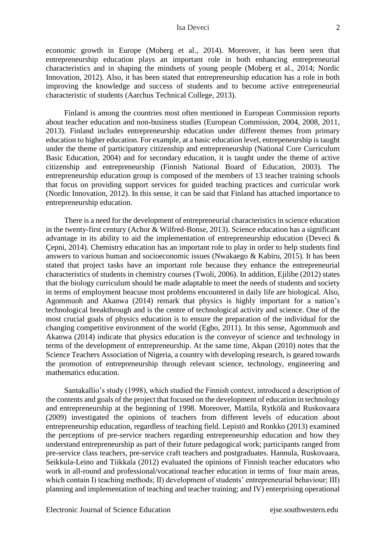economic growth in Europe (Moberg et al., 2014). Moreover, it has been seen that entrepreneurship education plays an important role in both enhancing entrepreneurial characteristics and in shaping the mindsets of young people (Moberg et al., 2014; Nordic Innovation, 2012). Also, it has been stated that entrepreneurship education has a role in both improving the knowledge and success of students and to become active entrepreneurial characteristic of students (Aarchus Technical College, 2013).

Finland is among the countries most often mentioned in European Commission reports about teacher education and non-business studies (European Commission, 2004, 2008, 2011, 2013). Finland includes entrepreneurship education under different themes from primary education to higher education. For example, at a basic education level, entrepeneurship is taught under the theme of participatory citizenship and entrepreneurship (National Core Curriculum Basic Education, 2004) and for secondary education, it is taught under the theme of active citizenship and entrepreneurship (Finnish National Board of Education, 2003). The entrepreneurship education group is composed of the members of 13 teacher training schools that focus on providing support services for guided teaching practices and curricular work (Nordic Innovation, 2012). In this sense, it can be said that Finland has [attached importance to](http://tureng.com/search/attach%20importance%20to) entrepreneurship education.

There is a need for the development of entrepreneurial characteristics in science education in the twenty-first century (Achor & Wilfred-Bonse, 2013). Science education has a significant advantage in its ability to aid the implementation of entrepreneurship education (Deveci  $\&$ Çepni, 2014). Chemistry education has an important role to play in order to help students find answers to various human and socioeconomic issues (Nwakaego & Kabiru, 2015). It has been stated that project tasks have an important role because they enhance the entrepreneurial characteristics of students in chemistry courses (Twoli, 2006). In addition, Ejilibe (2012) states that the biology curriculum should be made adaptable to meet the needs of students and society in terms of employment beacuse most problems encountered in daily life are biological. Also, Agommuoh and Akanwa (2014) remark that physics is highly important for a nation's technological breakthrough and is the centre of technological activity and science. One of the most crucial goals of physics education is to ensure the preparation of the individual for the changing competitive environment of the world (Egbo, 2011). In this sense, Agommuoh and Akanwa (2014) indicate that physics education is the conveyor of science and technology in terms of the development of entrepreneurship. At the same time, Akpan (2010) notes that the Science Teachers Association of Nigeria, a country with developing research, is geared towards the promotion of entrepreneurship through relevant science, technology, engineering and mathematics education.

Santakallio's study (1998), which studied the Finnish context, introduced a description of the contents and goals of the project that focused on the development of education in technology and entrepreneurship at the beginning of 1998. Moreover, Mattila, Rytkölä and Ruskovaara (2009) investigated the opinions of teachers from different levels of education about entrepreneurship education, regardless of teaching field. Lepistö and Ronkko (2013) examined the perceptions of pre-service teachers regarding entrepreneurship education and how they understand entrepreneurship as part of their future pedagogical work; participants ranged from pre-service class teachers, pre-service craft teachers and postgraduates. Hannula, Ruskovaara, Seikkula-Leino and Tiikkala (2012) evaluated the opinions of Finnish teacher educators who work in all-round and professional/vocational teacher education in terms of four main areas, which contain I) teaching methods; II) development of students' entrepreneurial behaviour; III) planning and implementation of teaching and teacher training; and IV) enterprising operational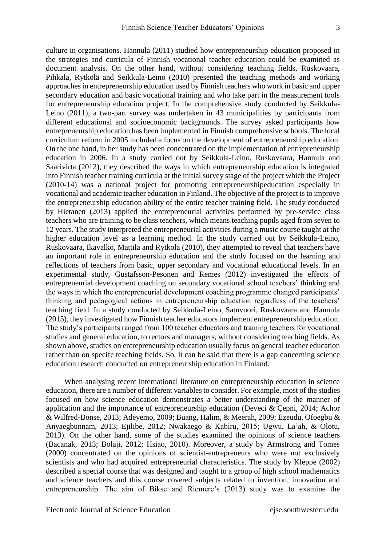culture in organisations. Hannula (2011) studied how entrepreneurship education proposed in the strategies and curricula of Finnish vocational teacher education could be examined as document analysis. On the other hand, [without considering](http://tureng.com/search/without%20considering) teaching fields, Ruskovaara, Pihkala, Rytkölä and Seikkula-Leino (2010) presented the teaching methods and working approaches in entrepreneurship education used by Finnish teachers who work in basic and upper secondary education and basic vocational training and who take part in the measurement tools for entrepreneurship education project. In the comprehensive study conducted by Seikkula-Leino (2011), a two-part survey was undertaken in 43 municipalities by participants from different educational and socioeconomic backgrounds. The survey asked participants how entrepreneurship education has been implemented in Finnish comprehensive schools. The local curriculum reform in 2005 included a focus on the development of entrepreneurship education. [On the one hand,](http://tureng.com/search/on%20the%20one%20hand) in her study has been concentrated on the implementation of entrepreneurship education in 2006. In a study carried out by Seikkula-Leino, Ruskovaara, Hannula and Saarivirta (2012), they described the ways in which entrepreneurship education is integrated into Finnish teacher training curricula at the initial survey stage of the project which the Project (2010-14) was a national project for promoting entrepreneurshipeducation especially in vocational and academic teacher education in Finland. The objective of the project is to improve the entrepreneurship education ability of the entire teacher training field. The study conducted by Hietanen (2013) applied the entrepreneurial activities performed by pre-service class teachers who are training to be class teachers, which means teaching pupils aged from seven to 12 years. The study interpreted the entrepreneurial activities during a music course taught at the higher education level as a learning method. In the study carried out by Seikkula-Leino, Ruskovaara, Ikavalko, Mattila and Rytkola (2010), they attempted to reveal that teachers have an important role in entrepreneurship education and the study focused on the learning and reflections of teachers from basic, upper secondary and vocational educational levels. In an experimental study, Gustafsson-Pesonen and Remes (2012) investigated the effects of entrepreneurial development coaching on secondary vocational school teachers' thinking and the ways in which the entrepreneurial development coaching programme changed participants' thinking and pedagogical actions in entrepreneurship education regardless of the teachers' teaching field. In a study conducted by Seikkula-Leino, Satuvuori, Ruskovaara and Hannula (2015), they investigated how Finnish teacher educators implement entrepreneurship education. The study's participants ranged from 100 teacher educators and training teachers for vocational studies and general education, to rectors and managers, without considering teaching fields. As shown above, studies on entrepreneurship education usually focus on general teacher education rather than on specifc teaching fields. So, it can be said that there is a gap concerning science education research conducted on entrepreneurship education in Finland.

When analysing recent international literature on entrepreneurship education in science education, there are a number of different variables to consider. For example, most of the studies focused on how science education demonstrates a better understanding of the [manner of](http://tureng.com/search/manner%20of%20application)  [application](http://tureng.com/search/manner%20of%20application) and the importance of entrepreneurship education (Deveci & Çepni, 2014; Achor & Wilfred-Bonse, 2013; Adeyemo, 2009; Buang, Halim, & Meerah, 2009; Ezeudu, Ofoegbu & Anyaegbunnam, 2013; Ejilibe, 2012; Nwakaego & Kabiru, 2015; Ugwu, La'ah, & Olotu, 2013). On the other hand, some of the studies examined the opinions of science teachers (Bacanak, 2013; Bolaji, 2012; Hsiao, 2010). Moreover, a study by Armstrong and Tomes (2000) concentrated on the opinions of scientist-entrepreneurs who were not exclusively scientists and who had acquired entrepreneurial characteristics. The study by Kleppe (2002) described a special course that was designed and taught to a group of high school mathematics and science teachers and this course covered subjects related to invention, innovation and entrepreneurship. The aim of Bikse and Riemere's (2013) study was to examine the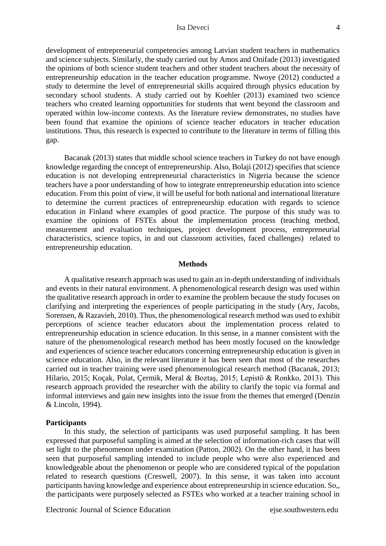development of entrepreneurial competencies among Latvian student teachers in mathematics and science subjects. Similarly, the study carried out by Amos and Onifade (2013) investigated the opinions of both science student teachers and other student teachers about the necessity of entrepreneurship education in the teacher education programme. Nwoye (2012) conducted a study to determine the level of entrepreneurial skills acquired through physics education by secondary school students. A study carried out by Koehler (2013) examined two science teachers who created learning opportunities for students that went beyond the classroom and operated within low-income contexts. As the literature review demonstrates, no studies have been found that examine the opinions of science teacher educators in teacher education institutions. Thus, this research is expected to contribute to the literature in terms of filling this gap.

Bacanak (2013) states that middle school science teachers in Turkey do not have enough knowledge regarding the concept of entrepreneurship. Also, Bolaji (2012) specifies that science education is not developing entrepreneurial characteristics in Nigeria because the science teachers have a poor understanding of how to integrate entrepreneurship education into science education. From this point of view, it will be useful for both national and international literature to determine the current practices of entrepreneurship education with regards to science education in Finland where examples of good practice. The purpose of this study was to examine the opinions of FSTEs about the [implementation process](http://tureng.com/search/implementation%20process) (teaching method, measurement and evaluation techniques, project development process, entrepreneurial characteristics, science topics, in and out classroom activities, faced challenges) [related](http://tureng.com/search/concerned) to entrepreneurship education.

#### **Methods**

A qualitative research approach was used to gain an in-depth understanding of individuals and events in their natural environment. A phenomenological research design was used within the qualitative research approach in order to examine the problem because the study focuses on clarifying and interpreting the experiences of people participating in the study (Ary, Jacobs, Sorensen, & Razavieh, 2010). Thus, the phenomenological research method was used to exhibit perceptions of science teacher educators about the [implementation process](http://tureng.com/search/implementation%20process) [related](http://tureng.com/search/concerned) to entrepreneurship education in science education. In this sense, in a manner consistent with the nature of the phenomenological research method has been mostly focused on the knowledge and experiences of science teacher educators concerning entrepreneurship education is given in science education. Also, in the relevant literature it has been seen that most of the researches carried out in teacher training were used phenomenological research method (Bacanak, 2013; Hilario, 2015; Koçak, Polat, Çermik, Meral & Boztaş, 2015; Lepistö & Ronkko, 2013). This research approach provided the researcher with the ability to clarify the topic via formal and informal interviews and gain new insights into the issue from the themes that emerged (Denzin & Lincoln, 1994).

#### **Participants**

In this study, the selection of participants was used purposeful sampling. It has been expressed that purposeful sampling is aimed at the selection of information-rich cases that will set light to the phenomenon under examination (Patton, 2002). On the other hand, it has been seen that purposeful sampling intended to include people who were also experienced and knowledgeable about the phenomenon or people who are considered typical of the population related to research questions (Creswell, 2007). In this sense, it was taken into account participants having knowledge and experience about entrepreneurship in science education. So,, the participants were purposely selected as FSTEs who worked at a teacher training school in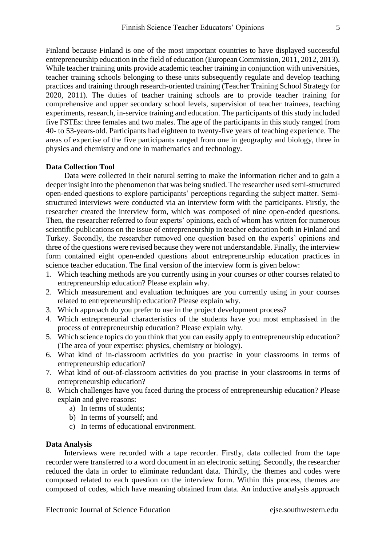Finland because Finland is one of the most important countries to have displayed successful entrepreneurship education in the field of education (European Commission, 2011, 2012, 2013). While teacher training units provide academic teacher training in conjunction with universities, teacher training schools belonging to these units subsequently regulate and develop teaching practices and training through research-oriented training (Teacher Training School Strategy for 2020, 2011). The duties of teacher training schools are to provide teacher training for comprehensive and upper secondary school levels, supervision of teacher trainees, teaching experiments, research, in-service training and education. The participants of this study included five FSTEs: three females and two males. The age of the participants in this study ranged from 40- to 53-years-old. Participants had eighteen to twenty-five years of teaching experience. The areas of [expertise](http://tureng.com/search/area%20of%20expertise) of the five participants ranged from one in geography and biology, three in physics and chemistry and one in mathematics and technology.

## **[Data Collection Tool](http://tureng.com/search/data%20collection%20tool)**

Data were collected in their natural setting to make the information richer and to gain a deeper insight into the phenomenon that was being studied. The researcher used semi-structured open-ended questions to explore participants' perceptions regarding the subject matter. Semistructured interviews were conducted via an interview form with the participants. Firstly, the researcher created the interview form, which was composed of nine open-ended questions. Then, the researcher referred to four experts' opinions, each of whom has written for numerous scientific publications on the issue of entrepreneurship in teacher education both in Finland and Turkey. Secondly, the researcher removed one question based on the experts' opinions and three of the questions were revised because they were not understandable. Finally, the interview form contained eight open-ended questions about entrepreneurship education practices in science teacher education. The final version of the interview form is given below:

- 1. Which teaching methods are you currently using in your courses or other courses related to entrepreneurship education? Please explain why.
- 2. Which measurement and evaluation techniques are you currently using in your courses related to entrepreneurship education? Please explain why.
- 3. Which approach do you prefer to use in the project development process?
- 4. Which entrepreneurial characteristics of the students have you most emphasised in the process of entrepreneurship education? Please explain why.
- 5. Which science topics do you think that you can easily apply to entrepreneurship education? (The area of your expertise: physics, chemistry or biology).
- 6. What kind of in-classroom activities do you practise in your classrooms in terms of entrepreneurship education?
- 7. What kind of out-of-classroom activities do you practise in your classrooms in terms of entrepreneurship education?
- 8. Which challenges have you faced during the process of entrepreneurship education? Please explain and give reasons:
	- a) In terms of students;
	- b) In terms of yourself; and
	- c) In terms of educational environment.

## **Data Analysis**

Interviews were recorded with a tape recorder. Firstly, data collected from the tape recorder were transferred to a word document in an electronic setting. Secondly, the researcher reduced the data in order to eliminate redundant data. Thirdly, the themes and codes were composed related to each question on the interview form. Within this process, themes are composed of codes, which have meaning obtained from data. An inductive analysis approach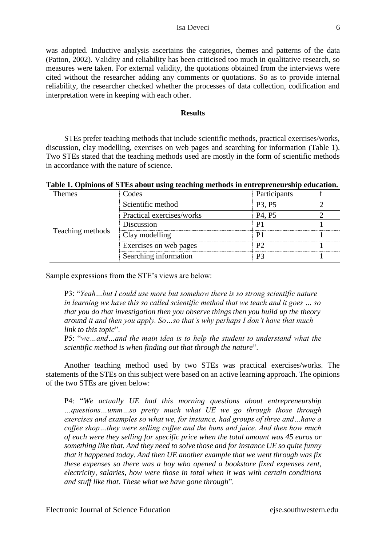was adopted. Inductive analysis ascertains the categories, themes and patterns of the data (Patton, 2002). Validity and reliability has been criticised too much in qualitative research, so measures were taken. For external validity, the quotations obtained from the interviews were cited without the researcher adding any comments or quotations. So as to provide internal reliability, the researcher checked whether the processes of data collection, codification and interpretation were [in keeping with](http://tureng.com/search/in%20keeping%20with) each other.

### **Results**

STEs prefer teaching methods that include scientific methods, practical exercises/works, discussion, clay modelling, exercises on web pages and searching for information (Table 1). Two STEs stated that the teaching methods used are mostly in the form of scientific methods in accordance with the nature of science.

|  |  |  |  | Table 1. Opinions of STEs about using teaching methods in entrepreneurship education. |
|--|--|--|--|---------------------------------------------------------------------------------------|
|  |  |  |  |                                                                                       |

| <b>Themes</b>    | Codes                     | Participants                    |  |
|------------------|---------------------------|---------------------------------|--|
|                  | Scientific method         | P <sub>3</sub> , P <sub>5</sub> |  |
|                  | Practical exercises/works | P <sub>4</sub> , P <sub>5</sub> |  |
|                  | Discussion                | P1                              |  |
| Teaching methods | Clay modelling            | P1                              |  |
|                  | Exercises on web pages    | Р2                              |  |
|                  | Searching information     | P3                              |  |

Sample expressions from the STE's views are below:

P3: "*Yeah…but I could use more but somehow there is so strong scientific nature in learning we have this so called scientific method that we teach and it goes … so that you do that investigation then you observe things then you build up the theory around it and then you apply. So…so that's why perhaps I don't have that much link to this topic*".

P5: "*we…and…and the main idea is to help the student to understand what the scientific method is when finding out that through the nature*".

Another teaching method used by two STEs was practical exercises/works. The statements of the STEs on this subject were based on an active learning approach. The opinions of the two STEs are given below:

P4: "*We actually UE had this morning questions about entrepreneurship …questions…umm…so pretty much what UE we go through those through exercises and examples so what we, for instance, had groups of three and…have a coffee shop…they were selling coffee and the buns and juice. And then how much of each were they selling for specific price when the total amount was 45 euros or something like that. And they need to solve those and for instance UE so quite funny that it happened today. And then UE another example that we went through was fix these expenses so there was a boy who opened a bookstore fixed expenses rent, electricity, salaries, how were those in total when it was with certain conditions and stuff like that. These what we have gone through*".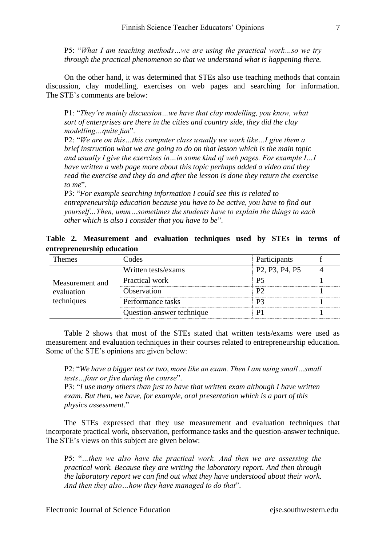P5: "*What I am teaching methods…we are using the practical work…so we try through the practical phenomenon so that we understand what is happening there.*

On the other hand, it was determined that STEs also use teaching methods that contain discussion, clay modelling, exercises on web pages and searching for information. The STE's comments are below:

P1: "*They're mainly discussion…we have that clay modelling, you know, what sort of enterprises are there in the cities and country side, they did the clay modelling…quite fun*".

P2: "*We are on this…this computer class usually we work like…I give them a brief instruction what we are going to do on that lesson which is the main topic and usually I give the exercises in…in some kind of web pages. For example I…I have written a web page more about this topic perhaps added a video and they read the exercise and they do and after the lesson is done they return the exercise to me*".

P3: "*For example searching information I could see this is related to entrepreneurship education because you have to be active, you have to find out yourself…Then, umm…sometimes the students have to explain the things to each other which is also I consider that you have to be*".

|  | Table 2. Measurement and evaluation techniques used by STEs in terms of |  |  |  |  |  |
|--|-------------------------------------------------------------------------|--|--|--|--|--|
|  | entrepreneurship education                                              |  |  |  |  |  |

| Fhemes          | Codes                     | Participants                                                      |  |
|-----------------|---------------------------|-------------------------------------------------------------------|--|
|                 | Written tests/exams       | P <sub>2</sub> , P <sub>3</sub> , P <sub>4</sub> , P <sub>5</sub> |  |
| Measurement and | Practical work            | P5                                                                |  |
| evaluation      | <b>Observation</b>        | P?                                                                |  |
| techniques      | Performance tasks         | P3                                                                |  |
|                 | Question-answer technique |                                                                   |  |

Table 2 shows that most of the STEs stated that written tests/exams were used as measurement and evaluation techniques in their courses related to entrepreneurship education. Some of the STE's opinions are given below:

P2: "*We have a bigger test or two, more like an exam. Then I am using small…small tests…four or five during the course*".

P3: "*I use many others than just to have that written exam although I have written exam. But then, we have, for example, oral presentation which is a part of this physics assessment*."

The STEs [expresse](http://tureng.com/search/express)d that they use measurement and evaluation techniques that incorporate practical work, observation, performance tasks and the question-answer technique. The STE's views on this subject are given below:

P5: "*…then we also have the practical work. And then we are assessing the practical work. Because they are writing the laboratory report. And then through the laboratory report we can find out what they have understood about their work. And then they also…how they have managed to do that*".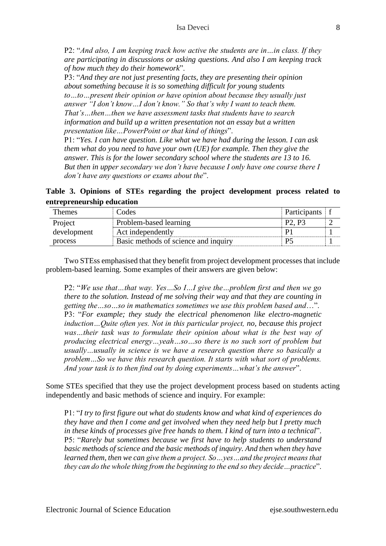P2: "*And also, I am keeping track how active the students are in…in class. If they are participating in discussions or asking questions. And also I am keeping track of how much they do their homework*".

P3: "*And they are not just presenting facts, they are presenting their opinion about something because it is so something difficult for young students to…to…present their opinion or have opinion about because they usually just answer "I don't know…I don't know." So that's why I want to teach them. That's…then…then we have assessment tasks that students have to search information and build up a written presentation not an essay but a written presentation like…PowerPoint or that kind of things*".

P1: "*Yes. I can have question. Like what we have had during the lesson. I can ask them what do you need to have your own (UE) for example. Then they give the answer. This is for the lower secondary school where the students are 13 to 16. But then in upper secondary we don't have because I only have one course there I don't have any questions or exams about the*".

**Table 3. Opinions of STEs regarding the project development process related to entrepreneurship education**

| Themes      | Codes                                | <b>Participants</b> |  |
|-------------|--------------------------------------|---------------------|--|
| Project     | Problem-based learning               |                     |  |
| development | Act independently                    |                     |  |
| process     | Basic methods of science and inquiry |                     |  |

Two STEss emphasised that they benefit from project development processes that include problem-based learning. Some examples of their answers are given below:

P2: "*We use that…that way. Yes…So I…I give the…problem first and then we go there to the solution. Instead of me solving their way and that they are counting in getting the…so…so in mathematics sometimes we use this problem based and*…". P3: "*For example; they study the electrical phenomenon like electro-magnetic induction…Quite often yes. Not in this particular project, no, because this project*  was ... their task was to formulate their opinion about what is the best way of *producing electrical energy…yeah…so…so there is no such sort of problem but usually…usually in science is we have a research question there so basically a problem…So we have this research question. It starts with what sort of problems. And your task is to then find out by doing experiments…what's the answer*".

Some STEs specified that they use the project development process based on students acting independently and basic methods of science and inquiry. For example:

P1: "*I try to first figure out what do students know and what kind of experiences do they have and then I come and get involved when they need help but I pretty much in these kinds of processes give free hands to them. I kind of turn into a technical*". P5: "*Rarely but sometimes because we first have to help students to understand basic methods of science and the basic methods of inquiry. And then when they have learned them, then we can give them a project. So…yes…and the project means that they can do the whole thing from the beginning to the end so they decide…practice*".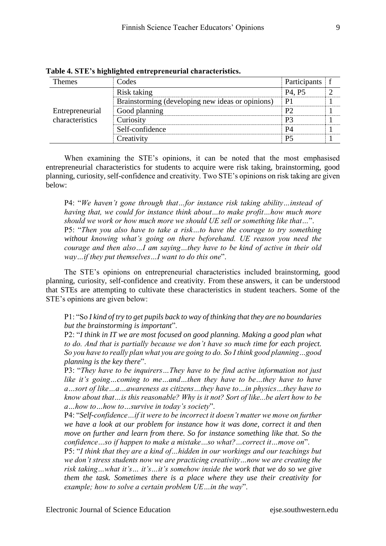| Themes          | Codes                                            | Participants f                  |  |
|-----------------|--------------------------------------------------|---------------------------------|--|
|                 | Risk taking                                      | P <sub>4</sub> , P <sub>5</sub> |  |
|                 | Brainstorming (developing new ideas or opinions) | P1                              |  |
| Entrepreneurial | Good planning                                    |                                 |  |
| characteristics | Curiosity                                        |                                 |  |
|                 | Self-confidence                                  | P4                              |  |
|                 | Creativity                                       | P5                              |  |

**Table 4. STE's highlighted entrepreneurial characteristics.**

When examining the STE's opinions, it can be noted that the most emphasised entrepreneurial characteristics for students to acquire were risk taking, brainstorming, good planning, curiosity, self-confidence and creativity. Two STE's opinions on risk taking are given below:

P4: "*We haven't gone through that…for instance risk taking ability…instead of having that, we could for instance think about…to make profit…how much more should we work or how much more we should UE sell or something like that…*". P5: "*Then you also have to take a risk…to have the courage to try something without knowing what's going on there beforehand. UE reason you need the courage and then also…I am saying…they have to be kind of active in their old way…if they put themselves…I want to do this one*".

The STE's opinions on entrepreneurial characteristics included brainstorming, good planning, curiosity, self-confidence and creativity. From these answers, it can be understood that STEs are attempting to cultivate these characteristics in student teachers. Some of the STE's opinions are given below:

P1: "So *I kind of try to get pupils back to way of thinking that they are no boundaries but the brainstorming is important*".

P2: "*I think in IT we are most focused on good planning. Making a good plan what to do. And that is partially because we don't have so much time for each project. So you have to really plan what you are going to do. So I think good planning…good planning is the key there*".

P3: "*They have to be inquirers…They have to be find active information not just like it's going…coming to me…and…then they have to be…they have to have a…sort of like…a…awareness as citizens…they have to…in physics…they have to know about that…is this reasonable? Why is it not? Sort of like...be alert how to be a…how to…how to…survive in today's society*".

P4: "*Self-confidence…if it were to be incorrect it doesn't matter we move on further we have a look at our problem for instance how it was done, correct it and then move on further and learn from there. So for instance something like that. So the confidence…so if happen to make a mistake…so what?…correct it…move on*".

P5: "*I think that they are a kind of…hidden in our workings and our teachings but we don't stress students now we are practicing creativity…now we are creating the risk taking…what it's… it's…it's somehow inside the work that we do so we give them the task. Sometimes there is a place where they use their creativity for example; how to solve a certain problem UE…in the way*".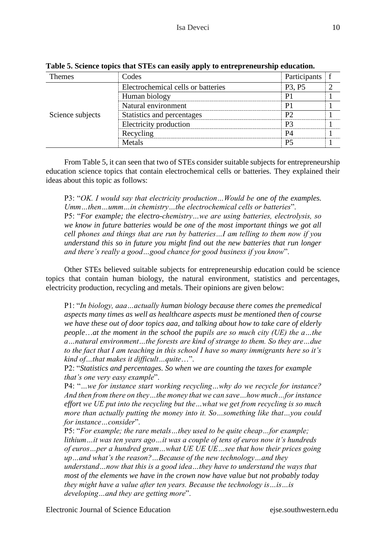| 'hemes           | Codes                              | Participants                    |  |
|------------------|------------------------------------|---------------------------------|--|
|                  | Electrochemical cells or batteries | P <sub>3</sub> , P <sub>5</sub> |  |
|                  | Human biology                      |                                 |  |
|                  | Natural environment                |                                 |  |
| Science subjects | Statistics and percentages         | P٦                              |  |
|                  | Electricity production             | P3                              |  |
|                  | Recycling                          |                                 |  |
|                  | Metals                             | P5                              |  |

**Table 5. Science topics that STEs can easily apply to entrepreneurship education.**

From Table 5, it can seen that two of STEs consider suitable subjects for entrepreneurship education science topics that contain electrochemical cells or batteries. They explained their ideas about this topic as follows:

P3: "*OK. I would say that electricity production…Would be one of the examples. Umm…then…umm…in chemistry…the electrochemical cells or batteries*". P5: "*For example; the electro-chemistry…we are using batteries, electrolysis, so we know in future batteries would be one of the most important things we got all cell phones and things that are run by batteries…I am telling to them now if you understand this so in future you might find out the new batteries that run longer and there's really a good…good chance for good business if you know*".

Other STEs believed suitable subjects for entrepreneurship education could be science topics that contain human biology, the natural environment, statistics and percentages, electricity production, recycling and metals. Their opinions are given below:

P1: "*In biology, aaa…actually human biology because there comes the premedical aspects many times as well as healthcare aspects must be mentioned then of course we have these out of door topics aaa, and talking about how to take care of elderly people*…*at the moment in the school the pupils are so much city (UE) the a…the a…natural environment…the forests are kind of strange to them. So they are…due to the fact that I am teaching in this school I have so many immigrants here so it's kind of…that makes it difficult…quite*…".

P2: "*Statistics and percentages. So when we are counting the taxes for example that's one very easy example*".

P4: "*…we for instance start working recycling…why do we recycle for instance? And then from there on they…the money that we can save…how much…for instance effort we UE put into the recycling but the…what we get from recycling is so much more than actually putting the money into it. So…something like that…you could for instance…consider*".

P5: "*For example; the rare metals…they used to be quite cheap…for example; lithium…it was ten years ago…it was a couple of tens of euros now it's hundreds of euros…per a hundred gram…what UE UE UE…see that how their prices going up…and what's the reason?…Because of the new technology…and they understand…now that this is a good idea…they have to understand the ways that most of the elements we have in the crown now have value but not probably today they might have a value after ten years. Because the technology is…is…is developing…and they are getting more*".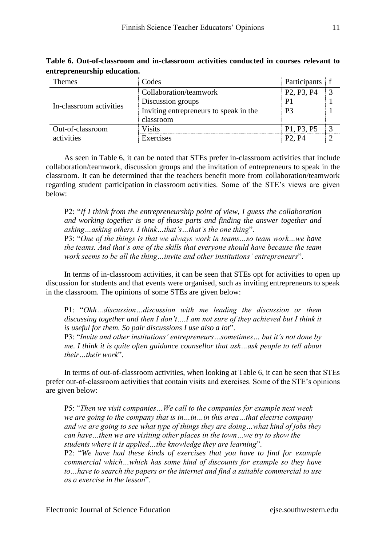| <b>Themes</b>           | Codes                                  | Participants f                                   |               |
|-------------------------|----------------------------------------|--------------------------------------------------|---------------|
|                         | Collaboration/teamwork                 | P <sub>2</sub> , P <sub>3</sub> , P <sub>4</sub> | $\mathcal{R}$ |
| In-classroom activities | Discussion groups                      |                                                  |               |
|                         | Inviting entrepreneurs to speak in the | P3                                               |               |
|                         | classroom                              |                                                  |               |
| Out-of-classroom        | <b>Visits</b>                          | P1, P3, P5                                       | $\mathcal{R}$ |
| activities              | Exercises                              | P <sub>2</sub> . P <sub>4</sub>                  |               |

**Table 6. Out-of-classroom and in-classroom activities conducted in courses relevant to entrepreneurship education.**

As seen in Table 6, it can be noted that STEs prefer in-classroom activities that include collaboration/teamwork, discussion groups and the invitation of entrepreneurs to speak in the classroom. It can be determined that the teachers benefit more from collaboration/teamwork regarding student participation in classroom activities. Some of the STE's views are given below:

P2: "*If I think from the entrepreneurship point of view, I guess the collaboration and working together is one of those parts and finding the answer together and asking…asking others. I think…that's…that's the one thing*".

P3: "*One of the things is that we always work in teams…so team work…we have the teams. And that's one of the skills that everyone should have because the team work seems to be all the thing…invite and other institutions' entrepreneurs*".

In terms of in-classroom activities, it can be seen that STEs opt for activities to open up discussion for students and that events were organised, such as inviting entrepreneurs to speak in the classroom. The opinions of some STEs are given below:

P1: "*Ohh…discussion…discussion with me leading the discussion or them*  discussing together and then I don't....I am not sure of they achieved but I think it *is useful for them. So pair discussions I use also a lot*".

P3: "*Invite and other institutions' entrepreneurs…sometimes… but it's not done by me. I think it is quite often guidance counsellor that ask…ask people to tell about their…their work*".

In terms of out-of-classroom activities, when looking at Table 6, it can be seen that STEs prefer out-of-classroom activities that contain visits and exercises. Some of the STE's opinions are given below:

P5: "*Then we visit companies…We call to the companies for example next week we are going to the company that is in…in…in this area…that electric company and we are going to see what type of things they are doing…what kind of jobs they can have…then we are visiting other places in the town…we try to show the students where it is applied…the knowledge they are learning*". P2: "*We have had these kinds of exercises that you have to find for example commercial which…which has some kind of discounts for example so they have to…have to search the papers or the internet and find a suitable commercial to use as a exercise in the lesson*".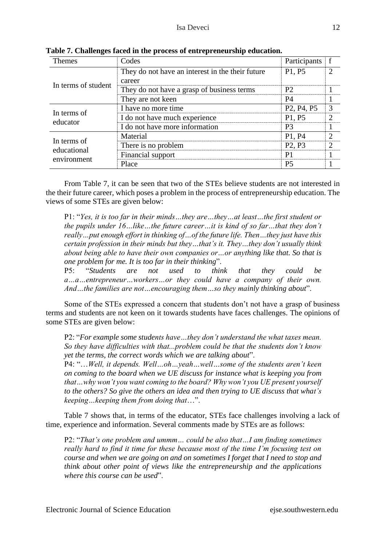| Themes              | Codes                                            | Participants f                                   |                             |
|---------------------|--------------------------------------------------|--------------------------------------------------|-----------------------------|
|                     | They do not have an interest in the their future | P1, P5                                           | $\mathcal{D}_{\mathcal{A}}$ |
| In terms of student | career                                           |                                                  |                             |
|                     | They do not have a grasp of business terms       | <b>P2</b>                                        |                             |
|                     | They are not keen                                | <b>P4</b>                                        |                             |
| In terms of         | I have no more time                              | P <sub>2</sub> , P <sub>4</sub> , P <sub>5</sub> | 3                           |
| educator            | I do not have much experience                    | P1, P5                                           | $\mathcal{D}$               |
|                     | I do not have more information                   | P <sub>3</sub>                                   |                             |
| In terms of         | Material                                         | P1, P4                                           | $\mathcal{D}$               |
| educational         | There is no problem                              | P <sub>2</sub> , P <sub>3</sub>                  | $\mathcal{D}$               |
| environment         | Financial support                                | P <sub>1</sub>                                   |                             |
|                     | Place                                            | P <sub>5</sub>                                   |                             |

**Table 7. Challenges faced in the process of entrepreneurship education.** 

From Table 7, it can be seen that two of the STEs believe students are not interested in the their future career, which poses a problem in the process of entrepreneurship education. The views of some STEs are given below:

P1: "*Yes, it is too far in their minds…they are…they…at least…the first student or the pupils under 16…like…the future career…it is kind of so far…that they don't really…put enough effort in thinking of…of the future life. Then…they just have this certain profession in their minds but they…that's it. They…they don't usually think about being able to have their own companies or…or anything like that. So that is one problem for me. It is too far in their thinking*".

P5: "*Students are not used to think that they could be a…a…entrepreneur…workers…or they could have a company of their own. And…the families are not…encouraging them…so they mainly thinking about*".

Some of the STEs expressed a concern that students don't not have a grasp of business terms and students are not keen on it towards students have faces challenges. The opinions of some STEs are given below:

P2: "*For example some students have…they don't understand the what taxes mean. So they have difficulties with that...problem could be that the students don't know yet the terms, the correct words which we are talking about*".

P4: "…*Well, it depends. Well…oh…yeah…well…some of the students aren't keen on coming to the board when we UE discuss for instance what is keeping you from that…why won't you want coming to the board? Why won't you UE present yourself to the others? So give the others an idea and then trying to UE discuss that what's keeping…keeping them from doing that*…".

Table 7 shows that, in terms of the educator, STEs face challenges involving a lack of time, experience and information. Several comments made by STEs are as follows:

P2: "*That's one problem and ummm… could be also that…I am finding sometimes really hard to find it time for these because most of the time I'm focusing test on course and when we are going on and on sometimes I forget that I need to stop and think about other point of views like the entrepreneurship and the applications where this course can be used*".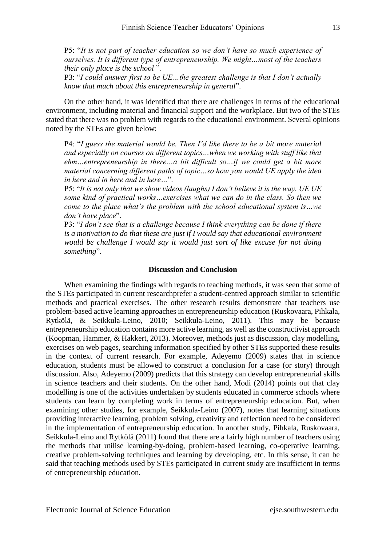P5: "*It is not part of teacher education so we don't have so much experience of ourselves. It is different type of entrepreneurship. We might…most of the teachers their only place is the school* ".

P3: "*I could answer first to be UE…the greatest challenge is that I don't actually know that much about this entrepreneurship in general*".

On the other hand, it was identified that there are challenges in terms of the educational environment, including material and financial support and the workplace. But two of the STEs stated that there was no problem with regards to the educational environment. Several opinions noted by the STEs are given below:

P4: "*I guess the material would be. Then I'd like there to be a bit more material and especially on courses on different topics…when we working with stuff like that ehm…entrepreneurship in there…a bit difficult so…if we could get a bit more material concerning different paths of topic…so how you would UE apply the idea in here and in here and in here…*".

P5: "*It is not only that we show videos (laughs) I don't believe it is the way. UE UE some kind of practical works…exercises what we can do in the class. So then we come to the place what's the problem with the school educational system is…we don't have place*".

P3: "*I don't see that is a challenge because I think everything can be done if there is a motivation to do that these are just if I would say that educational environment would be challenge I would say it would just sort of like excuse for not doing something*".

#### **Discussion and Conclusion**

When examining the findings with regards to teaching methods, it was seen that some of the STEs participated in current researchprefer a student-centred approach similar to scientific methods and practical exercises. The other research results demonstrate that teachers use problem-based active learning approaches in entrepreneurship education (Ruskovaara, Pihkala, Rytkölä, & Seikkula-Leino, 2010; Seikkula-Leino, 2011). This may be because entrepreneurship education contains more active learning, as well as the constructivist approach (Koopman, Hammer, & Hakkert, 2013). Moreover, methods just as discussion, clay modelling, exercises on web pages, searching information specified by other STEs supported these results in the context of current research. For example, Adeyemo (2009) states that in science education, students must be allowed to construct a conclusion for a case (or story) through discussion. Also, Adeyemo (2009) predicts that this strategy can develop entrepreneurial skills in science teachers and their students. On the other hand, Modi (2014) points out that clay modelling is one of the activities undertaken by students educated in commerce schools where students can learn by completing work in terms of entrepreneurship education. But, when examining other studies, for example, Seikkula-Leino (2007), notes that learning situations providing interactive learning, problem solving, creativity and reflection need to be considered in the implementation of entrepreneurship education. In another study, Pihkala, Ruskovaara, Seikkula-Leino and Rytkölä (2011) found that there are a fairly high number of teachers using the methods that utilise learning-by-doing, problem-based learning, co-operative learning, creative problem-solving techniques and learning by developing, etc. In this sense, it can be said that teaching methods used by STEs participated in current study are insufficient in terms of entrepreneurship education.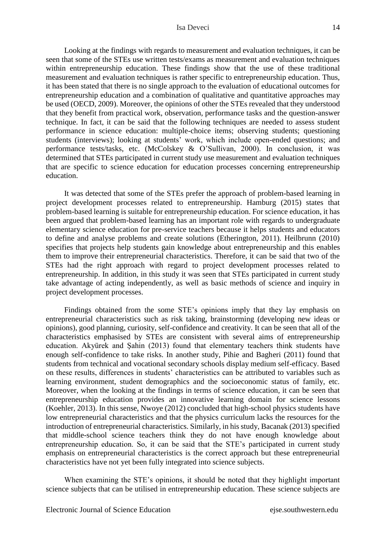Looking at the findings with regards to measurement and evaluation techniques, it can be seen that some of the STEs use written tests/exams as measurement and evaluation techniques within entrepreneurship education. These findings show that the use of these traditional measurement and evaluation techniques is rather specific to entrepreneurship education. Thus, it has been stated that there is no single approach to the evaluation of educational outcomes for entrepreneurship education and a combination of qualitative and quantitative approaches may be used (OECD, 2009). Moreover, the opinions of other the STEs revealed that they understood that they benefit from practical work, [observation,](http://tureng.com/search/observation) performance tasks and the question-answer technique. In fact, it can be said that the following techniques are needed to assess student performance in science education: multiple-choice items; observing students; questioning students (interviews); looking at students' work, which include open-ended questions; and performance tests/tasks, etc. (McColskey & O'Sullivan, 2000). In conclusion, it was determined that STEs participated in current study use measurement and evaluation techniques that are specific to science education for education processes concerning entrepreneurship education.

It was detected that some of the STEs prefer the approach of problem-based learning in project development processes related to entrepreneurship. Hamburg (2015) states that problem-based learning is suitable for entrepreneurship education. For science education, it has been argued that problem-based learning has an important role [with regards to](http://tureng.com/search/with%20regard%20to) undergraduate elementary science education for pre-service teachers because it helps students and educators to define and analyse problems and create solutions (Etherington, 2011). Heilbrunn (2010) specifies that projects help students gain knowledge about entrepreneurship and this enables them to improve their entrepreneurial characteristics. Therefore, it can be said that two of the STEs had the right approach with regard to project development processes related to entrepreneurship. In addition, in this study it was seen that STEs participated in current study take advantage of acting independently, as well as basic methods of science and inquiry in project development processes.

Findings obtained from the some STE's opinions imply that they [lay emphasis on](http://tureng.com/search/lay%20emphasis%20on) entrepreneurial characteristics such as risk taking, brainstorming (developing new ideas or opinions), good planning, curiosity, self-confidence and creativity. It can be seen that all of the characteristics emphasised by STEs are consistent with several aims of entrepreneurship education. Akyürek and Şahin (2013) found that elementary teachers think students have enough self-confidence to take risks. In another study, Pihie and Bagheri (2011) found that students from technical and vocational secondary schools display medium self-efficacy. Based on these results, differences in students' characteristics can be [attributed to](http://tureng.com/search/attribute%20to) variables such as learning environment, student demographics and the socioeconomic status of family, etc. Moreover, when the looking at the findings in terms of science education, it can be seen that entrepreneurship education provides an innovative learning domain for science lessons (Koehler, 2013). In this sense, Nwoye (2012) concluded that high-school physics students have low entrepreneurial characteristics and that the physics curriculum lacks the resources for the introduction of entrepreneurial characteristics. Similarly, in his study, Bacanak (2013) specified that middle-school science teachers think they do not have enough knowledge about entrepreneurship education. So, it can be said that the STE's participated in current study emphasis on entrepreneurial characteristics is the correct approach but these entrepreneurial characteristics have not yet been fully integrated into science subjects.

When examining the STE's opinions, it should be noted that they highlight important science subjects that can be utilised in entrepreneurship education. These science subjects are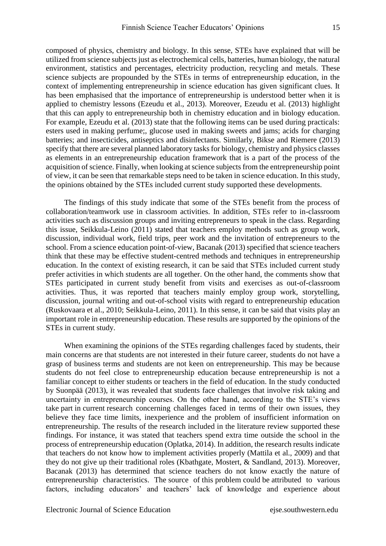composed of physics, chemistry and biology. In this sense, STEs have explained that will be utilized from science subjects just as electrochemical cells, batteries, human biology, the natural environment, statistics and percentages, electricity production, recycling and metals. These science subjects are [propounde](http://tureng.com/search/propound)d by the STEs in terms of entrepreneurship education, in the context of implementing entrepreneurship in science education has given significant clues. It has been emphasised that the importance of entrepreneurship is understood better when it is applied to chemistry lessons (Ezeudu et al., 2013). Moreover, Ezeudu et al. (2013) [highlight](http://tureng.com/search/highlight) that this can apply to entrepreneurship both in chemistry education and in biology education. For example, Ezeudu et al. (2013) state that the following items can be used during practicals: esters used in making perfume;, glucose used in making sweets and jams; acids for charging batteries; and insecticides, antiseptics and disinfectants. Similarly, Bikse and Riemere (2013) specify that there are several planned laboratory tasks for biology, chemistry and physics classes as elements in an entrepreneurship education framework that is a part of the process of the acquisition of science. Finally, when looking at science subjects from the entrepreneurship point of view, it can be seen that [remarkable steps need to be taken in](http://tureng.com/search/take%20remarkable%20steps%20in) science education. In this study, the opinions obtained by the STEs included current study supported these developments.

The findings of this study indicate that some of the STEs benefit from the process of collaboration/teamwork use in classroom activities. In addition, STEs refer to in-classroom activities such as discussion groups and inviting entrepreneurs to speak in the class. Regarding this issue, Seikkula-Leino (2011) stated that teachers employ methods such as group work, discussion, individual work, field trips, peer work and the invitation of entrepreneurs to the school. From a science education point-of-view, Bacanak (2013) specified that science teachers think that these may be effective student-centred methods and techniques in entrepreneurship education. In the context of existing research, it can be said that STEs included current study prefer activities in which students [are all together.](http://tureng.com/search/be%20all%20together) On the other hand, the comments show that STEs participated in current study benefit from visits and exercises as out-of-classroom activities. Thus, it was reported that teachers mainly employ group work, storytelling, discussion, journal writing and out-of-school visits with regard to entrepreneurship education (Ruskovaara et al., 2010; Seikkula-Leino, 2011). In this sense, it can be said that visits play an important role in entrepreneurship education. These results are supported by the opinions of the STEs in current study.

When examining the opinions of the STEs regarding challenges faced by students, their main concerns are that students are not interested in their future career, students do not have a grasp of business terms and students are not keen on entrepreneurship. This may be because students do not feel close to entrepreneurship education because entrepreneurship is not a familiar concept to either students or teachers in the field of education. In the study conducted by Suonpää (2013), it was revealed that students face challenges that involve risk taking and uncertainty in entrepreneurship courses. On the other hand, according to the STE's views take part in current research concerning challenges faced in terms of their own issues, they believe they face time limits, [inexperience](http://tureng.com/search/inexperience) and the problem of insufficient information on entrepreneurship. The results of the research included in the literature review supported these findings. For instance, it was stated that teachers spend extra time outside the school in the process of entrepreneurship education (Oplatka, 2014). In addition, the research results indicate that teachers do not know how to implement activities properly (Mattila et al., 2009) and that they do not give up their traditional roles (Kbathgate, Mostert, & Sandland, 2013). Moreover, Bacanak (2013) has determined that science teachers do not know exactly the nature of entrepreneurship characteristics. The source of this problem could be attributed to various factors, including educators' and teachers' lack of knowledge and experience about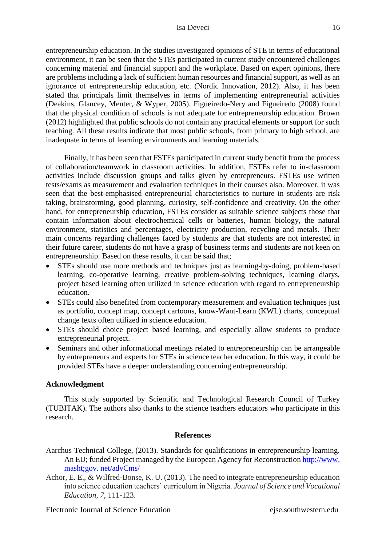entrepreneurship education. In the studies investigated opinions of STE in terms of educational environment, it can be seen that the STEs participated in current study encountered challenges concerning material and financial support and the workplace. Based on expert opinions, there are problems including a lack of sufficient human resources and financial support, as well as an ignorance of entrepreneurship education, etc. (Nordic Innovation, 2012). Also, it has been stated that principals limit themselves in terms of implementing entrepreneurial activities (Deakins, Glancey, Menter, & Wyper, 2005). Figueiredo-Nery and Figueiredo (2008) found that the physical condition of schools is not adequate for entrepreneurship education. Brown (2012) highlighted that public schools do not contain any practical elements or support for such teaching. All these results indicate that most public schools, from primary to high school, are inadequate in terms of learning environments and learning materials.

Finally, it has been seen that FSTEs participated in current study benefit from the process of collaboration/teamwork in classroom activities. In addition, FSTEs refer to in-classroom activities include discussion groups and talks given by entrepreneurs. FSTEs use written tests/exams as measurement and evaluation techniques in their courses also. Moreover, it was seen that the best-emphasised entrepreneurial characteristics to nurture in students are risk taking, brainstorming, good planning, curiosity, self-confidence and creativity. On the other hand, for entrepreneurship education, FSTEs consider as suitable science subjects those that contain information about electrochemical cells or batteries, human biology, the natural environment, statistics and percentages, electricity production, recycling and metals. Their main concerns regarding challenges faced by students are that students are not interested in their future career, students do not have a grasp of business terms and students are not keen on entrepreneurship. Based on these results, it can be said that;

- STEs should use more methods and techniques just as learning-by-doing, problem-based learning, co-operative learning, creative problem-solving techniques, learning diarys, project based learning often utilized in science education with regard to entrepreneurship education.
- STEs could also benefited from contemporary measurement and evaluation techniques just as portfolio, concept map, concept cartoons, know-Want-Learn (KWL) charts, conceptual change texts often utilized in science education.
- STEs should choice project based learning, and especially allow students to produce entrepreneurial project.
- Seminars and other informational meetings related to entrepreneurship can be arrangeable by entrepreneurs and experts for STEs in science teacher education. In this way, it could be provided STEs have a deeper understanding concerning entrepreneurship.

# **Acknowledgment**

This study supported by [Scientific and Technological Research Council of Turkey](https://en.wikipedia.org/wiki/Scientific_and_Technological_Research_Council_of_Turkey) (TUBITAK). The authors also thanks to the science teachers educators who participate in this research.

# **References**

- Aarchus Technical College, (2013). Standards for qualifications in entrepreneurship learning. An EU; funded Project managed by the European Agency for Reconstruction http://www. masht;gov. net/advCms/
- Achor, E. E., & Wilfred-Bonse, K. U. (2013). The need to integrate entrepreneurship education into science education teachers' curriculum in Nigeria. *Journal of Science and Vocational Education*, *7*, 111-123.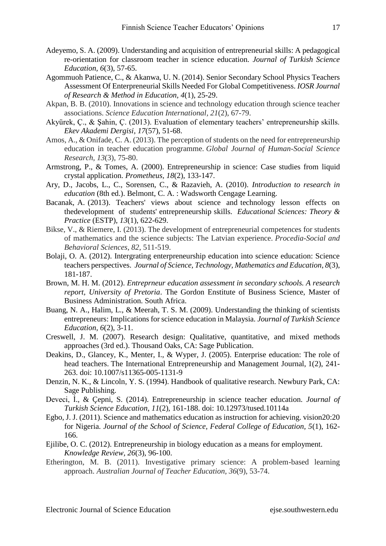- Adeyemo, S. A. (2009). Understanding and acquisition of entrepreneurial skills: A pedagogical re-orientation for classroom teacher in science education. *Journal of Turkish Science Education, 6*(3), 57-65.
- Agommuoh Patience, C., & Akanwa, U. N. (2014). Senior Secondary School Physics Teachers Assessment Of Enterpreneurial Skills Needed For Global Competitiveness. *IOSR Journal of Research & Method in Education, 4*(1), 25-29.
- Akpan, B. B. (2010). Innovations in science and technology education through science teacher associations. *Science Education International, 21*(2), 67-79.
- Akyürek, Ç., & Şahin, Ç. (2013). Evaluation of elementary teachers' entrepreneurship skills. *Ekev Akademi Dergisi*, *17*(57), 51-68.
- Amos, A., & Onifade, C. A. (2013). The perception of students on the need for entrepreneurship education in teacher education programme. *Global Journal of Human-Social Science Research, 13*(3), 75-80.
- Armstrong, P., & Tomes, A. (2000). Entrepreneurship in science: Case studies from liquid crystal application. *Prometheus, 18*(2), 133-147.
- Ary, D., Jacobs, L., C., Sorensen, C., & Razavieh, A. (2010). *Introduction to research in education* (8th ed.). Belmont, C. A. : Wadsworth Cengage Learning.
- Bacanak, A. (2013). Teachers' views about science and technology lesson effects on thedevelopment of students' entrepreneurship skills*. Educational Sciences: Theory & Practice* (ESTP), *13*(1), 622-629.
- Bikse, V., & Riemere, I. (2013). The development of entrepreneurial competences for students of mathematics and the science subjects: The Latvian experience. *Procedia-Social and Behavioral Sciences*, *82*, 511-519.
- Bolaji, O. A. (2012). Intergrating enterpreneurship education into science education: Science teachers perspectives. *Journal of Science, Technology, Mathematics and Education*, *8*(3), 181-187.
- Brown, M. H. M. (2012). *Entreprneur education assessment in secondary schools. A research report, University of Pretoria*. The Gordon Enstitute of Business Science, Master of Business Administration. South Africa.
- Buang, N. A., Halim, L., & Meerah, T. S. M. (2009). Understanding the thinking of scientists entrepreneurs: Implications for science education in Malaysia. *Journal of Turkish Science Education*, *6*(2), 3-11.
- Creswell, J. M. (2007). Research design: Qualitative, quantitative, and mixed methods approaches (3rd ed.). Thousand Oaks, CA: Sage Publication.
- Deakins, D., Glancey, K., Menter, I., & Wyper, J. (2005). Enterprise education: The role of head teachers. The International Entrepreneurship and Management Journal, 1(2), 241- 263. doi: [10.1007/s11365-005-1131-9](http://dx.doi.org/10.1007/s11365-005-1131-9)
- Denzin, N. K., & Lincoln, Y. S. (1994). Handbook of qualitative research. Newbury Park, CA: Sage Publishing.
- Deveci, İ., & Çepni, S. (2014). Entrepreneurship in science teacher education. *Journal of Turkish Science Education*, *11*(2), 161-188. doi: 10.12973/tused.10114a
- Egbo, J. J. (2011). Science and mathematics education as instruction for achieving. vision20:20 for Nigeria. *Journal of the School of Science, Federal College of Education, 5*(1), 162- 166.
- Ejilibe, O. C. (2012). Entrepreneurship in biology education as a means for employment. *Knowledge Review, 26*(3), 96-100.
- Etherington, M. B. (2011). Investigative primary science: A problem-based learning approach. *Australian Journal of Teacher Education*, *36*(9), 53-74.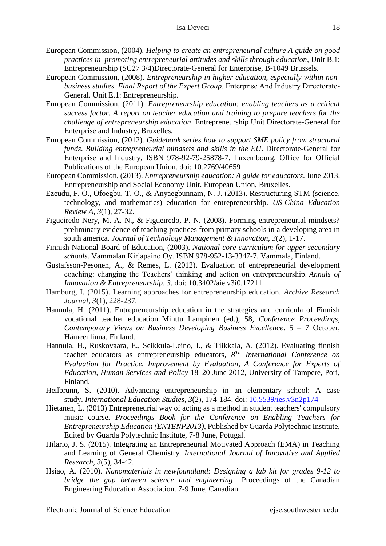- European Commission, (2004). *Helping to create an entrepreneurial culture A guide on good practices in promoting entrepreneurial attitudes and skills through education*, Unit B.1: Entrepreneurship (SC27 3/4)Directorate-General for Enterprise, B-1049 Brussels.
- European Commission, (2008). *Entrepreneurship in higher education, especially within nonbusiness studies. Final Report of the Expert Group*. Enterprıse And Industry Dırectorate-General. Unit E.1: Entrepreneurship.
- European Commission, (2011). *Entrepreneurship education: enabling teachers as a critical success factor. A report on teacher education and training to prepare teachers for the challenge of entrepreneurship education*. Entrepreneurship Unit Directorate-General for Enterprise and Industry, Bruxelles.
- European Commission, (2012). *Guidebook series how to support SME policy from structural funds. Building entrepreneurial mindsets and skills in the EU*. Directorate-General for Enterprise and Industry, ISBN 978-92-79-25878-7. Luxembourg, Office for Official Publications of the European Union. doi: 10.2769/40659
- European Commission, (2013). *Entrepreneurship education: A guide for educators*. June 2013. Entrepreneurship and Social Economy Unit. European Union, Bruxelles.
- Ezeudu, F. O., Ofoegbu, T. O., & Anyaegbunnam, N. J. (2013). Restructuring STM (science, technology, and mathematics) education for entrepreneurship. *US-China Education Review A, 3*(1), 27-32.
- Figueiredo-Nery, M. A. N., & Figueiredo, P. N. (2008). Forming entrepreneurial mindsets? preliminary evidence of teaching practices from primary schools in a developing area in south america. *Journal of Technology Management & Innovation, 3*(2), 1-17.
- Finnish National Board of Education, (2003). *National core curriculum for upper secondary schools.* Vammalan Kirjapaino Oy. ISBN 978-952-13-3347-7. Vammala, Finland.
- Gustafsson-Pesonen, A., & Remes, L. (2012). Evaluation of entrepreneurial development coaching: changing the Teachers' thinking and action on entrepreneurship. *Annals of Innovation & Entrepreneurship*, *3*. doi: 10.3402/aie.v3i0.17211
- Hamburg, I. (2015). Learning approaches for entrepreneurship education. *Archive Research Journal, 3*(1), 228-237.
- Hannula, H. (2011). Entrepreneurship education in the strategies and curricula of Finnish vocational teacher education. Minttu Lampinen (ed.), 58, *Conference Proceedings, Contemporary Views on Business Developing Business Excellence*. 5 – 7 October, Hämeenlinna, Finland.
- Hannula, H., Ruskovaara, E., Seikkula-Leino, J., & Tiikkala, A. (2012). Evaluating finnish teacher educators as entrepreneurship educators, *8 Th International Conference on Evaluation for Practice, Improvement by Evaluation, A Conference for Experts of Education, Human Services and Policy* 18–20 June 2012, University of Tampere, Pori, Finland.
- Heilbrunn, S. (2010). Advancing entrepreneurship in an elementary school: A case study. *International Education Studies*, *3*(2), 174-184. doi: [10.5539/ies.v3n2p174](http://dx.doi.org/10.5539/ies.v3n2p174)
- Hietanen, L. (2013) Entrepreneurial way of acting as a method in student teachers' compulsory music course. *Proceedings Book for the Conference on Enabling Teachers for Entrepreneurship Education (ENTENP2013)*, Published by Guarda Polytechnic Institute, Edited by Guarda Polytechnic Institute, 7-8 June, Potugal.
- Hilario, J. S. (2015). Integrating an Entrepreneurial Motivated Approach (EMA) in Teaching and Learning of General Chemistry. *International Journal of Innovative and Applied Research*, *3*(5), 34-42.
- Hsiao, A. (2010). *Nanomaterials in newfoundland: Designing a lab kit for grades 9-12 to bridge the gap between science and engineering*. Proceedings of the Canadian Engineering Education Association. 7-9 June, Canadian.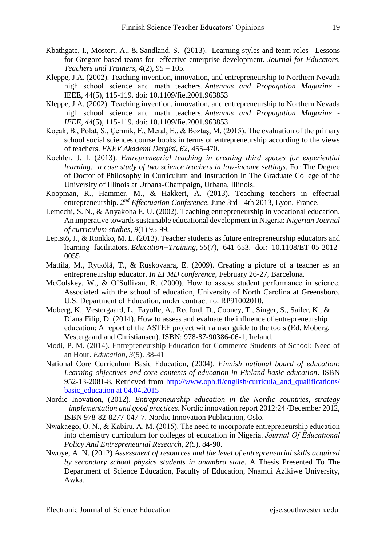- Kbathgate, I., Mostert, A., & Sandland, S. (2013). Learning styles and team roles –Lessons for Gregorc based teams for effective enterprise development. *Journal for Educators, Teachers and Trainers*, *4*(2), 95 – 105.
- Kleppe, J.A. (2002). Teaching invention, innovation, and entrepreneurship to Northern Nevada high school science and math teachers. *Antennas and Propagation Magazine* - IEEE, 44(5), 115-119. doi: 10.1109/fie.2001.963853
- Kleppe, J.A. (2002). Teaching invention, innovation, and entrepreneurship to Northern Nevada high school science and math teachers. *Antennas and Propagation Magazine* - *IEEE, 44*(5), 115-119. doi: 10.1109/fie.2001.963853
- Koçak, B., Polat, S., Çermik, F., Meral, E., & Boztaş, M. (2015). The evaluation of the primary school social sciences course books in terms of entrepreneurship according to the views of teachers. *EKEV Akademi Dergisi*, *62*, 455-470.
- Koehler, J. L (2013). *Entrepreneurial teaching in creating third spaces for experiential learning: a case study of two science teachers in low-income settings*. For The Degree of Doctor of Philosophy in Curriculum and Instruction In The Graduate College of the University of Illinois at Urbana-Champaign, Urbana, Illinois.
- Koopman, R., Hammer, M., & Hakkert, A. (2013). Teaching teachers in effectual entrepreneurship. *2 nd Effectuation Conference*, June 3rd - 4th 2013, Lyon, France.
- Lemechi, S. N., & Anyakoha E. U. (2002). Teaching entrepreneurship in vocational education. An imperative towards sustainable educational development in Nigeria: *Nigerian Journal of curriculum studies, 9*(1) 95-99*.*
- Lepistö, J., & Ronkko, M. L. (2013). Teacher students as future entrepreneurship educators and learning facilitators. *Education+Training, 55*(7), 641-653. doi: 10.1108/ET-05-2012- 0055
- Mattila, M., Rytkölä, T., & Ruskovaara, E. (2009). Creating a picture of a teacher as an entrepreneurship educator. *In EFMD conference*, February 26-27, Barcelona.
- McColskey, W., & O'Sullivan, R. (2000). How to assess student performance in science. Associated with the school of education, University of North Carolina at Greensboro. U.S. Department of Education, under contract no. RP91002010.
- Moberg, K., Vestergaard, L., Fayolle, A., Redford, D., Cooney, T., Singer, S., Sailer, K., & Diana Filip, D. (2014). How to assess and evaluate the influence of entrepreneurship education: A report of the ASTEE project with a user guide to the tools (Ed. Moberg, Vestergaard and Christiansen). ISBN: 978-87-90386-06-1, Ireland.
- Modi, P. M. (2014). Entrepreneurship Education for Commerce Students of School: Need of an Hour. *Education*, *3*(5). 38-41
- National Core Curriculum Basic Education, (2004). *Finnish national board of education: Learning objectives and core contents of education in Finland basic education*. ISBN 952-13-2081-8. Retrieved from [http://www.oph.fi/english/curricula\\_and\\_qualifications/](http://www.oph.fi/english/curricula_and_qualifications/%20basic_education%20at%2004.04.2015)  [basic\\_education at 04.04.2015](http://www.oph.fi/english/curricula_and_qualifications/%20basic_education%20at%2004.04.2015)
- Nordic Inovation, (2012). *Entrepreneurship education in the Nordic countries, strategy implementation and good practices*. Nordic innovation report 2012:24 /December 2012, ISBN 978-82-8277-047-7. Nordic Innovation Publication, Oslo.
- Nwakaego, O. N., & Kabiru, A. M. (2015). The need to ıncorporate entrepreneurship education into chemistry curriculum for colleges of education in Nigeria. *Journal Of Educatıonal Policy And Entrepreneurial Research, 2*(5), 84-90.
- Nwoye, A. N. (2012) *Assessment of resources and the level of entrepreneurial skills acquired by secondary school physics students in anambra state*. A Thesis Presented To The Department of Science Education, Faculty of Education, Nnamdi Azikiwe University, Awka.